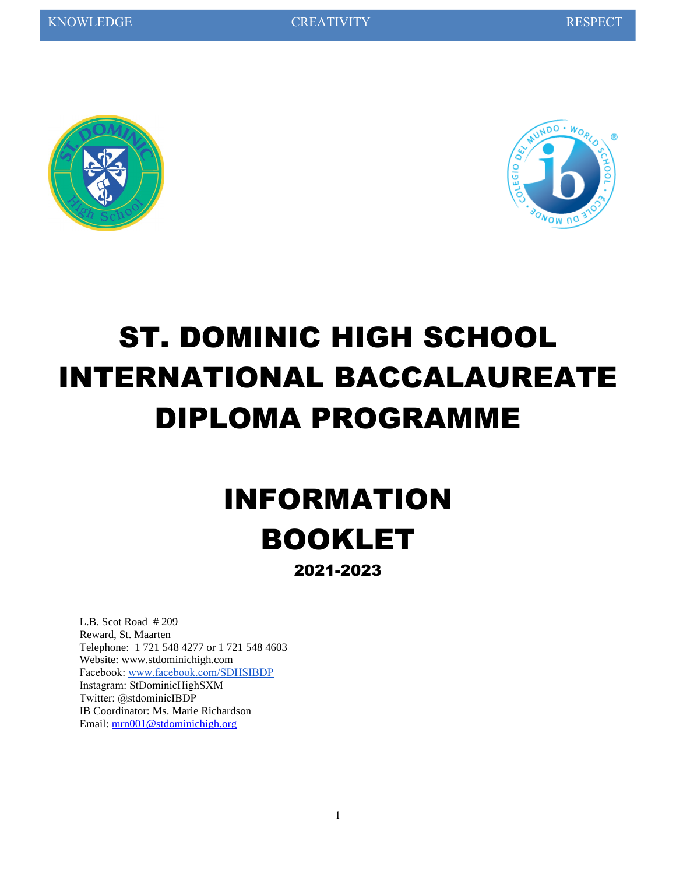



# ST. DOMINIC HIGH SCHOOL INTERNATIONAL BACCALAUREATE DIPLOMA PROGRAMME

# INFORMATION BOOKLET

2021-2023

L.B. Scot Road # 209 Reward, St. Maarten Telephone: 1 721 548 4277 or 1 721 548 4603 Website: www.stdominichigh.com Facebook: [www.facebook.com/SDHSIBDP](http://www.facebook.com/SDHSIBDP) Instagram: StDominicHighSXM Twitter: @stdominicIBDP IB Coordinator: Ms. Marie Richardson Email: [mrn001@stdominichigh.org](mailto:mrn001@stdominichigh.org)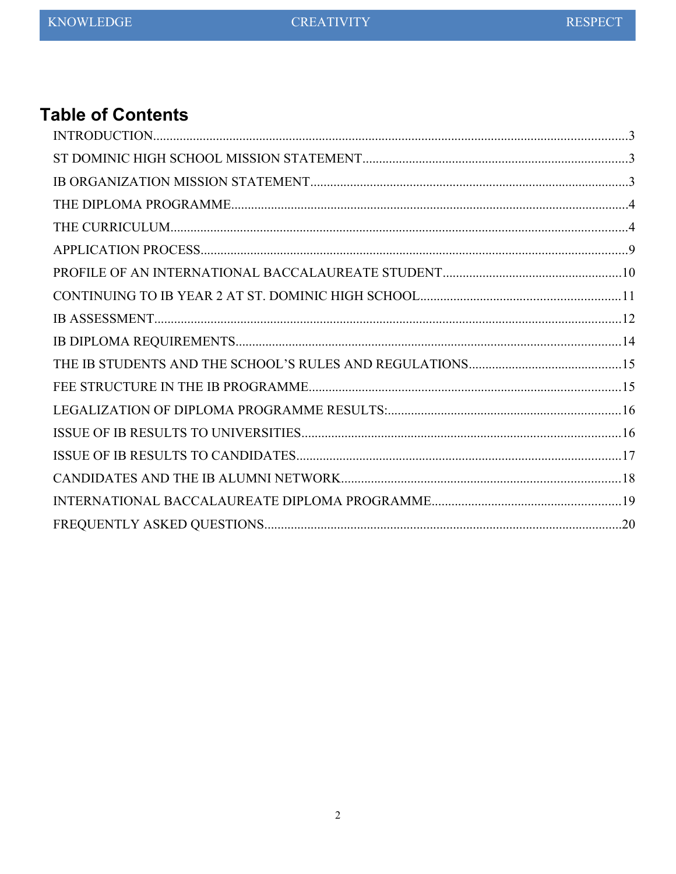## **Table of Contents**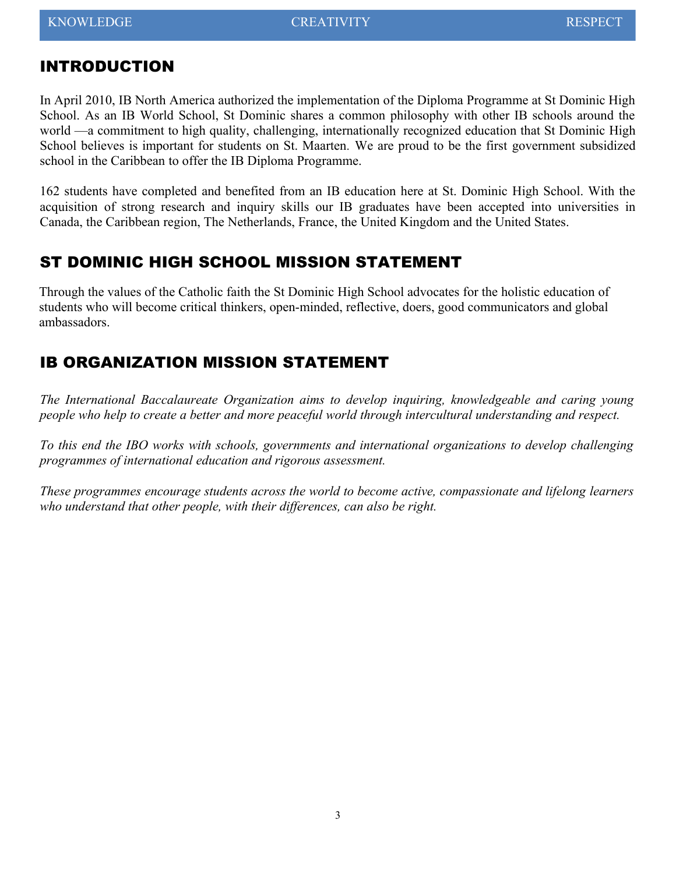### <span id="page-2-2"></span>INTRODUCTION

In April 2010, IB North America authorized the implementation of the Diploma Programme at St Dominic High School. As an IB World School, St Dominic shares a common philosophy with other IB schools around the world —a commitment to high quality, challenging, internationally recognized education that St Dominic High School believes is important for students on St. Maarten*.* We are proud to be the first government subsidized school in the Caribbean to offer the IB Diploma Programme.

162 students have completed and benefited from an IB education here at St. Dominic High School. With the acquisition of strong research and inquiry skills our IB graduates have been accepted into universities in Canada, the Caribbean region, The Netherlands, France, the United Kingdom and the United States.

### <span id="page-2-1"></span>ST DOMINIC HIGH SCHOOL MISSION STATEMENT

Through the values of the Catholic faith the St Dominic High School advocates for the holistic education of students who will become critical thinkers, open-minded, reflective, doers, good communicators and global ambassadors.

## <span id="page-2-0"></span>IB ORGANIZATION MISSION STATEMENT

*The International Baccalaureate Organization aims to develop inquiring, knowledgeable and caring young people who help to create a better and more peaceful world through intercultural understanding and respect.*

*To this end the IBO works with schools, governments and international organizations to develop challenging programmes of international education and rigorous assessment.*

*These programmes encourage students across the world to become active, compassionate and lifelong learners who understand that other people, with their differences, can also be right.*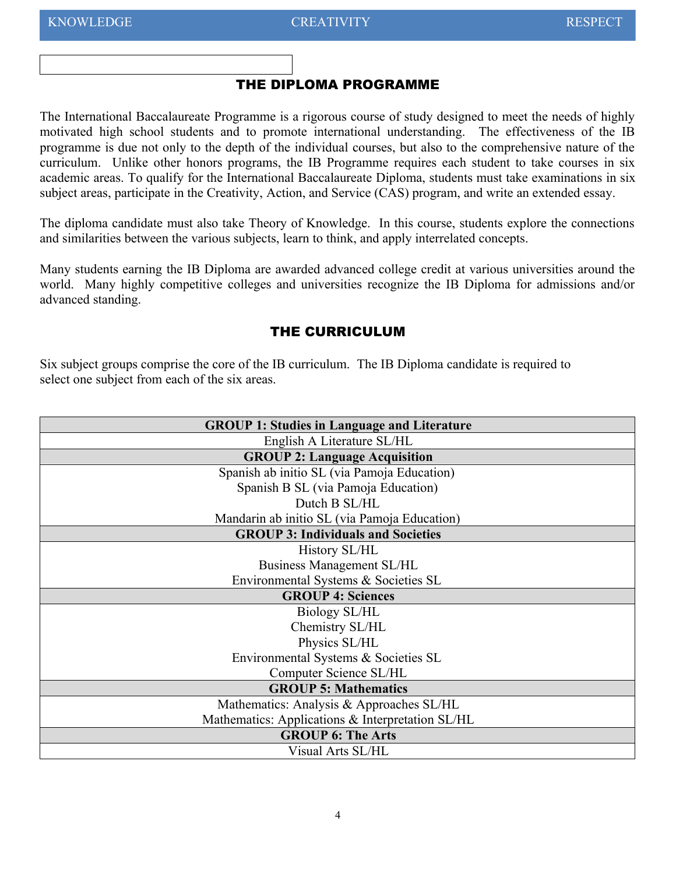#### <span id="page-3-1"></span>THE DIPLOMA PROGRAMME

The International Baccalaureate Programme is a rigorous course of study designed to meet the needs of highly motivated high school students and to promote international understanding. The effectiveness of the IB programme is due not only to the depth of the individual courses, but also to the comprehensive nature of the curriculum. Unlike other honors programs, the IB Programme requires each student to take courses in six academic areas. To qualify for the International Baccalaureate Diploma, students must take examinations in six subject areas, participate in the Creativity, Action, and Service (CAS) program, and write an extended essay.

The diploma candidate must also take Theory of Knowledge. In this course, students explore the connections and similarities between the various subjects, learn to think, and apply interrelated concepts.

Many students earning the IB Diploma are awarded advanced college credit at various universities around the world. Many highly competitive colleges and universities recognize the IB Diploma for admissions and/or advanced standing.

#### <span id="page-3-0"></span>THE CURRICULUM

Six subject groups comprise the core of the IB curriculum. The IB Diploma candidate is required to select one subject from each of the six areas.

| <b>GROUP 1: Studies in Language and Literature</b> |  |  |  |  |
|----------------------------------------------------|--|--|--|--|
| English A Literature SL/HL                         |  |  |  |  |
| <b>GROUP 2: Language Acquisition</b>               |  |  |  |  |
| Spanish ab initio SL (via Pamoja Education)        |  |  |  |  |
| Spanish B SL (via Pamoja Education)                |  |  |  |  |
| Dutch B SL/HL                                      |  |  |  |  |
| Mandarin ab initio SL (via Pamoja Education)       |  |  |  |  |
| <b>GROUP 3: Individuals and Societies</b>          |  |  |  |  |
| History SL/HL                                      |  |  |  |  |
| <b>Business Management SL/HL</b>                   |  |  |  |  |
| Environmental Systems & Societies SL               |  |  |  |  |
| <b>GROUP 4: Sciences</b>                           |  |  |  |  |
| Biology SL/HL                                      |  |  |  |  |
| Chemistry SL/HL                                    |  |  |  |  |
| Physics SL/HL                                      |  |  |  |  |
| Environmental Systems & Societies SL               |  |  |  |  |
| Computer Science SL/HL                             |  |  |  |  |
| <b>GROUP 5: Mathematics</b>                        |  |  |  |  |
| Mathematics: Analysis & Approaches SL/HL           |  |  |  |  |
| Mathematics: Applications & Interpretation SL/HL   |  |  |  |  |
| <b>GROUP 6: The Arts</b>                           |  |  |  |  |
| Visual Arts SL/HL                                  |  |  |  |  |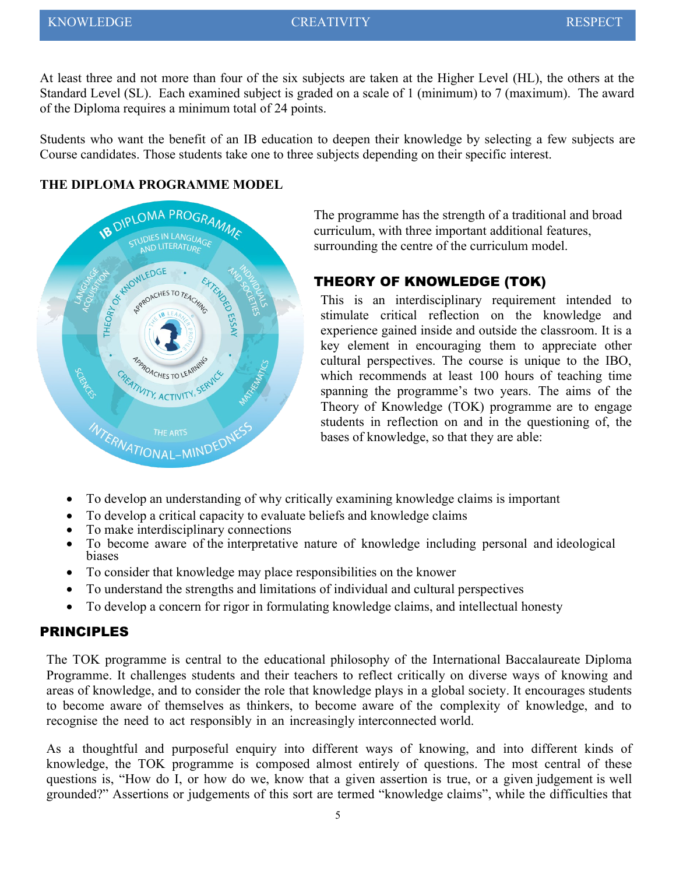At least three and not more than four of the six subjects are taken at the Higher Level (HL), the others at the Standard Level (SL). Each examined subject is graded on a scale of 1 (minimum) to 7 (maximum). The award of the Diploma requires a minimum total of 24 points.

Students who want the benefit of an IB education to deepen their knowledge by selecting a few subjects are Course candidates. Those students take one to three subjects depending on their specific interest.

#### **THE DIPLOMA PROGRAMME MODEL**



The programme has the strength of a traditional and broad curriculum, with three important additional features, surrounding the centre of the curriculum model.

#### THEORY OF KNOWLEDGE (TOK)

This is an interdisciplinary requirement intended to stimulate critical reflection on the knowledge and experience gained inside and outside the classroom. It is a key element in encouraging them to appreciate other cultural perspectives. The course is unique to the IBO, which recommends at least 100 hours of teaching time spanning the programme's two years. The aims of the Theory of Knowledge (TOK) programme are to engage students in reflection on and in the questioning of, the bases of knowledge, so that they are able:

- To develop an understanding of why critically examining knowledge claims is important
- To develop a critical capacity to evaluate beliefs and knowledge claims<br>• To make interdisciplinary connections
- To make interdisciplinary connections
- To become aware of the interpretative nature of knowledge including personal and ideological biases
- To consider that knowledge may place responsibilities on the knower
- To understand the strengths and limitations of individual and cultural perspectives
- To develop a concern for rigor in formulating knowledge claims, and intellectual honesty

#### PRINCIPLES

The TOK programme is central to the educational philosophy of the International Baccalaureate Diploma Programme. It challenges students and their teachers to reflect critically on diverse ways of knowing and areas of knowledge, and to consider the role that knowledge plays in a global society. It encourages students to become aware of themselves as thinkers, to become aware of the complexity of knowledge, and to recognise the need to act responsibly in an increasingly interconnected world.

As a thoughtful and purposeful enquiry into different ways of knowing, and into different kinds of knowledge, the TOK programme is composed almost entirely of questions. The most central of these questions is, "How do I, or how do we, know that a given assertion is true, or a given judgement is well grounded?" Assertions or judgements of this sort are termed "knowledge claims", while the difficulties that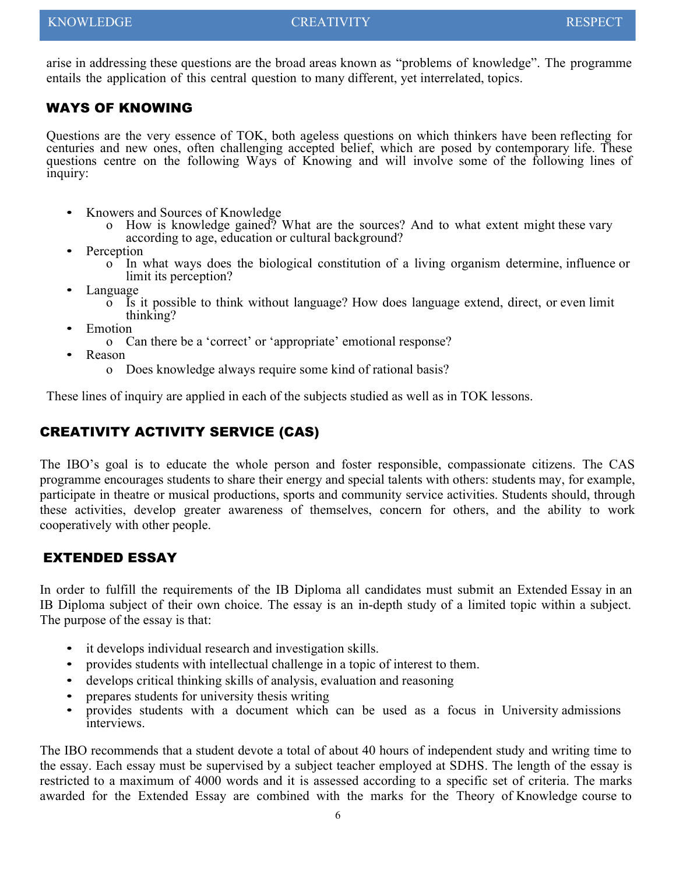arise in addressing these questions are the broad areas known as "problems of knowledge". The programme entails the application of this central question to many different, yet interrelated, topics.

#### WAYS OF KNOWING

Questions are the very essence of TOK, both ageless questions on which thinkers have been reflecting for centuries and new ones, often challenging accepted belief, which are posed by contemporary life. These questions centre on the following Ways of Knowing and will involve some of the following lines of inquiry:

- Knowers and Sources of Knowledge
	- o How is knowledge gained? What are the sources? And to what extent might these vary according to age, education or cultural background?
- Perception
	- In what ways does the biological constitution of a living organism determine, influence or limit its perception?
- Language
	- o Is it possible to think without language? How does language extend, direct, or even limit thinking?
- **E**motion
	- o Can there be a 'correct' or 'appropriate' emotional response?
- Reason
	- o Does knowledge always require some kind of rational basis?

These lines of inquiry are applied in each of the subjects studied as well as in TOK lessons.

#### CREATIVITY ACTIVITY SERVICE (CAS)

The IBO's goal is to educate the whole person and foster responsible, compassionate citizens. The CAS programme encourages students to share their energy and special talents with others: students may, for example, participate in theatre or musical productions, sports and community service activities. Students should, through these activities, develop greater awareness of themselves, concern for others, and the ability to work cooperatively with other people.

#### EXTENDED ESSAY

In order to fulfill the requirements of the IB Diploma all candidates must submit an Extended Essay in an IB Diploma subject of their own choice. The essay is an in-depth study of a limited topic within a subject. The purpose of the essay is that:

- it develops individual research and investigation skills.
- provides students with intellectual challenge in a topic of interest to them.
- develops critical thinking skills of analysis, evaluation and reasoning
- prepares students for university thesis writing
- provides students with a document which can be used as a focus in University admissions interviews.

The IBO recommends that a student devote a total of about 40 hours of independent study and writing time to the essay. Each essay must be supervised by a subject teacher employed at SDHS. The length of the essay is restricted to a maximum of 4000 words and it is assessed according to a specific set of criteria. The marks awarded for the Extended Essay are combined with the marks for the Theory of Knowledge course to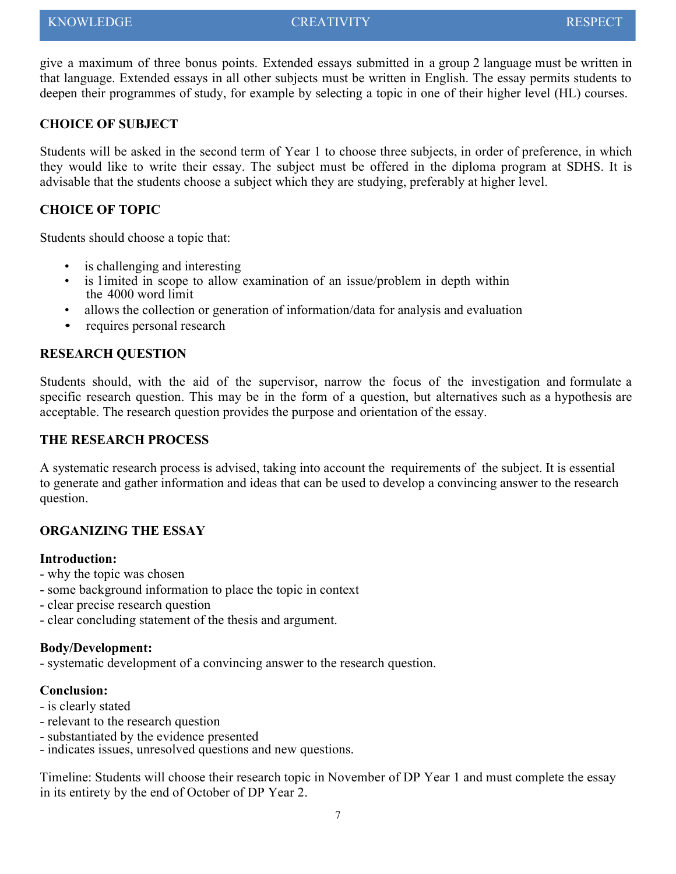give a maximum of three bonus points. Extended essays submitted in a group 2 language must be written in that language. Extended essays in all other subjects must be written in English. The essay permits students to deepen their programmes of study, for example by selecting a topic in one of their higher level (HL) courses.

#### **CHOICE OF SUBJECT**

Students will be asked in the second term of Year 1 to choose three subjects, in order of preference, in which they would like to write their essay. The subject must be offered in the diploma program at SDHS. It is advisable that the students choose a subject which they are studying, preferably at higher level.

#### **CHOICE OF TOPIC**

Students should choose a topic that:

- is challenging and interesting
- is limited in scope to allow examination of an issue/problem in depth within the 4000 word limit
- allows the collection or generation of information/data for analysis and evaluation
- requires personal research

#### **RESEARCH QUESTION**

Students should, with the aid of the supervisor, narrow the focus of the investigation and formulate a specific research question. This may be in the form of a question, but alternatives such as a hypothesis are acceptable. The research question provides the purpose and orientation of the essay.

#### **THE RESEARCH PROCESS**

A systematic research process is advised, taking into account the requirements of the subject. It is essential to generate and gather information and ideas that can be used to develop a convincing answer to the research question.

#### **ORGANIZING THE ESSAY**

#### **Introduction:**

- why the topic was chosen
- some background information to place the topic in context
- clear precise research question
- clear concluding statement of the thesis and argument.

#### **Body/Development:**

- systematic development of a convincing answer to the research question.

#### **Conclusion:**

- is clearly stated
- relevant to the research question
- substantiated by the evidence presented
- indicates issues, unresolved questions and new questions.

Timeline: Students will choose their research topic in November of DP Year 1 and must complete the essay in its entirety by the end of October of DP Year 2.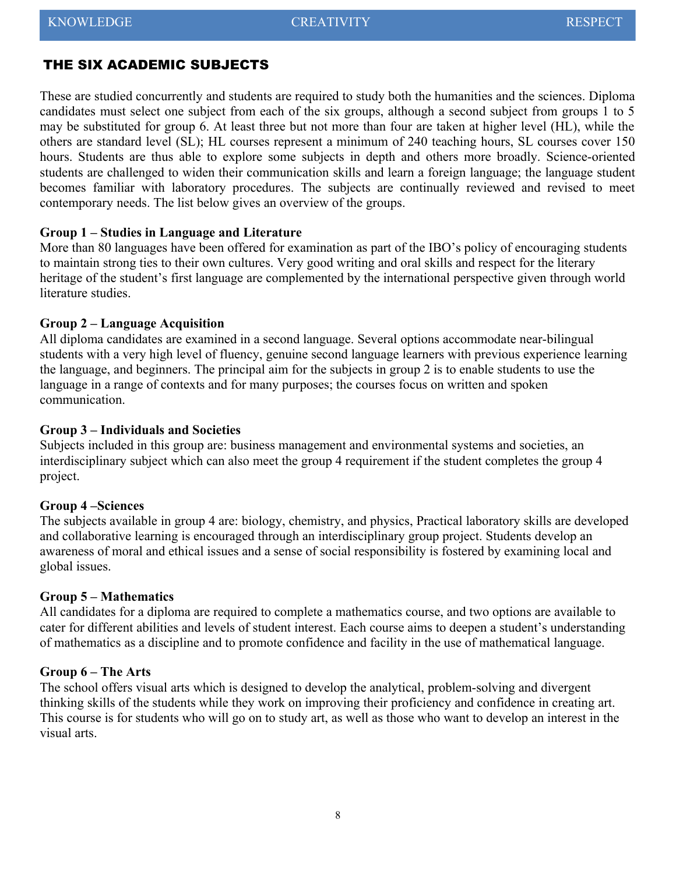#### THE SIX ACADEMIC SUBJECTS

These are studied concurrently and students are required to study both the humanities and the sciences. Diploma candidates must select one subject from each of the six groups, although a second subject from groups 1 to 5 may be substituted for group 6. At least three but not more than four are taken at higher level (HL), while the others are standard level (SL); HL courses represent a minimum of 240 teaching hours, SL courses cover 150 hours. Students are thus able to explore some subjects in depth and others more broadly. Science-oriented students are challenged to widen their communication skills and learn a foreign language; the language student becomes familiar with laboratory procedures. The subjects are continually reviewed and revised to meet contemporary needs. The list below gives an overview of the groups.

#### **Group 1 – Studies in Language and Literature**

More than 80 languages have been offered for examination as part of the IBO's policy of encouraging students to maintain strong ties to their own cultures. Very good writing and oral skills and respect for the literary heritage of the student's first language are complemented by the international perspective given through world literature studies.

#### **Group 2 – Language Acquisition**

All diploma candidates are examined in a second language. Several options accommodate near-bilingual students with a very high level of fluency, genuine second language learners with previous experience learning the language, and beginners. The principal aim for the subjects in group 2 is to enable students to use the language in a range of contexts and for many purposes; the courses focus on written and spoken communication.

#### **Group 3 – Individuals and Societies**

Subjects included in this group are: business management and environmental systems and societies, an interdisciplinary subject which can also meet the group 4 requirement if the student completes the group 4 project.

#### **Group 4 –Sciences**

The subjects available in group 4 are: biology, chemistry, and physics, Practical laboratory skills are developed and collaborative learning is encouraged through an interdisciplinary group project. Students develop an awareness of moral and ethical issues and a sense of social responsibility is fostered by examining local and global issues.

#### **Group 5 – Mathematics**

All candidates for a diploma are required to complete a mathematics course, and two options are available to cater for different abilities and levels of student interest. Each course aims to deepen a student's understanding of mathematics as a discipline and to promote confidence and facility in the use of mathematical language.

#### **Group 6 – The Arts**

The school offers visual arts which is designed to develop the analytical, problem-solving and divergent thinking skills of the students while they work on improving their proficiency and confidence in creating art. This course is for students who will go on to study art, as well as those who want to develop an interest in the visual arts.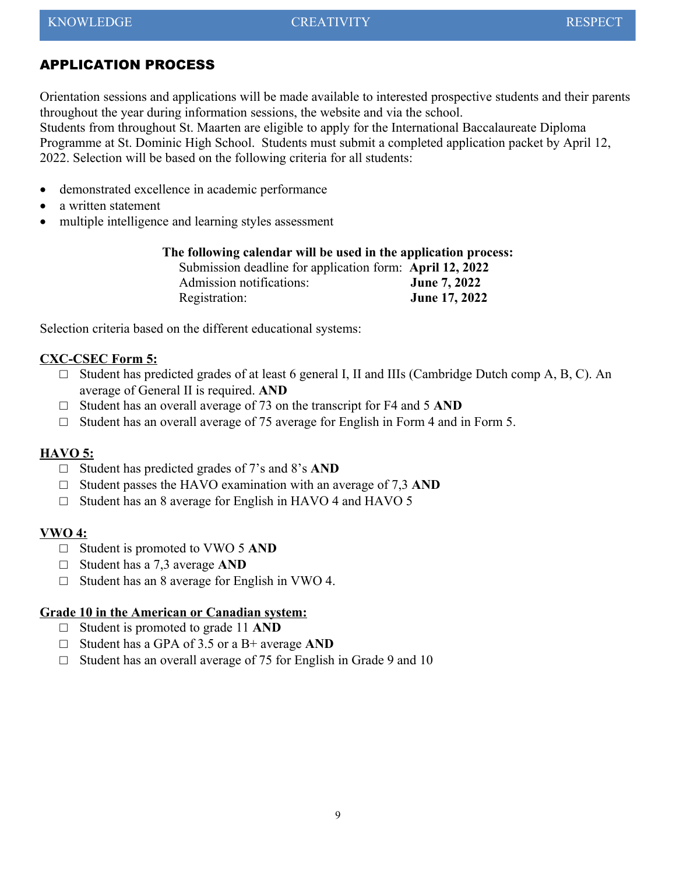#### <span id="page-8-0"></span>APPLICATION PROCESS

Orientation sessions and applications will be made available to interested prospective students and their parents throughout the year during information sessions, the website and via the school.

Students from throughout St. Maarten are eligible to apply for the International Baccalaureate Diploma Programme at St. Dominic High School. Students must submit a completed application packet by April 12, 2022. Selection will be based on the following criteria for all students:

- demonstrated excellence in academic performance
- a written statement
- multiple intelligence and learning styles assessment

|  |  |  |  | The following calendar will be used in the application process: |
|--|--|--|--|-----------------------------------------------------------------|
|  |  |  |  | معمومات والمسافي المستحدث والمتحدث والمستحدث والمناسب والمستحدث |

| Submission deadline for application form: April 12, 2022 |                     |
|----------------------------------------------------------|---------------------|
| Admission notifications:                                 | <b>June 7, 2022</b> |
| Registration:                                            | June 17, 2022       |

Selection criteria based on the different educational systems:

#### **CXC-CSEC Form 5:**

- $\Box$  Student has predicted grades of at least 6 general I, II and IIIs (Cambridge Dutch comp A, B, C). An average of General II is required. **AND**
- □ Student has an overall average of 73 on the transcript for F4 and 5 **AND**
- $\Box$  Student has an overall average of 75 average for English in Form 4 and in Form 5.

#### **HAVO 5:**

- □ Student has predicted grades of 7's and 8's **AND**
- □ Student passes the HAVO examination with an average of 7,3 **AND**
- $\Box$  Student has an 8 average for English in HAVO 4 and HAVO 5

#### **VWO 4:**

- □ Student is promoted to VWO 5 **AND**
- □ Student has a 7,3 average **AND**
- $\Box$  Student has an 8 average for English in VWO 4.

#### **Grade 10 in the American or Canadian system:**

- □ Student is promoted to grade 11 **AND**
- □ Student has a GPA of 3.5 or a B+ average **AND**
- $\Box$  Student has an overall average of 75 for English in Grade 9 and 10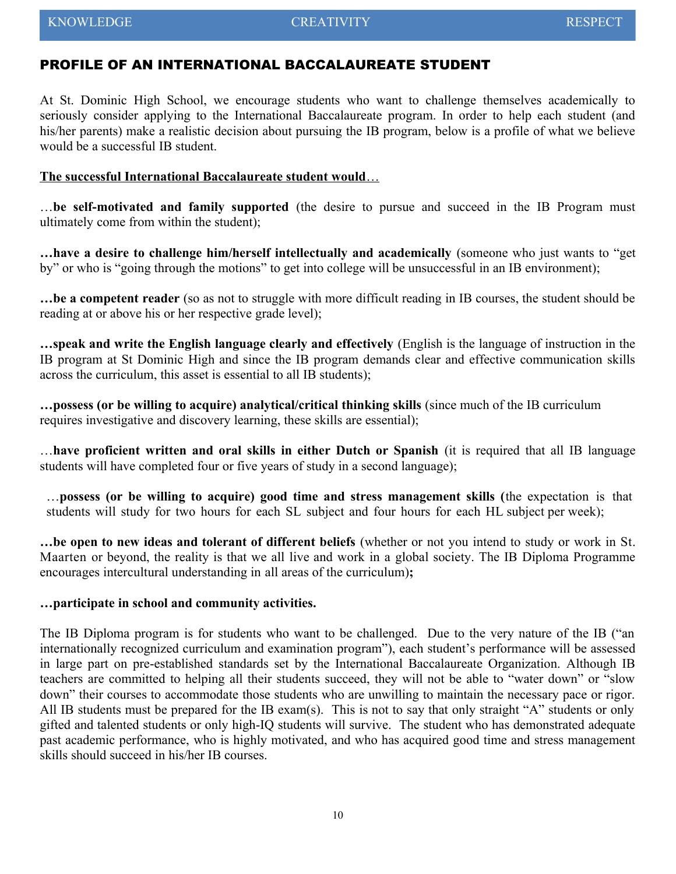#### <span id="page-9-0"></span>PROFILE OF AN INTERNATIONAL BACCALAUREATE STUDENT

At St. Dominic High School, we encourage students who want to challenge themselves academically to seriously consider applying to the International Baccalaureate program. In order to help each student (and his/her parents) make a realistic decision about pursuing the IB program, below is a profile of what we believe would be a successful IB student.

#### **The successful International Baccalaureate student would** …

…**be self-motivated and family supported** (the desire to pursue and succeed in the IB Program must ultimately come from within the student);

**…have a desire to challenge him/herself intellectually and academically** (someone who just wants to "get by" or who is "going through the motions" to get into college will be unsuccessful in an IB environment);

**…be a competent reader** (so as not to struggle with more difficult reading in IB courses, the student should be reading at or above his or her respective grade level);

**…speak and write the English language clearly and effectively** (English is the language of instruction in the IB program at St Dominic High and since the IB program demands clear and effective communication skills across the curriculum, this asset is essential to all IB students);

**…possess (or be willing to acquire) analytical/critical thinking skills** (since much of the IB curriculum requires investigative and discovery learning, these skills are essential);

…**have proficient written and oral skills in either Dutch or Spanish** (it is required that all IB language students will have completed four or five years of study in a second language);

…**possess (or be willing to acquire) good time and stress management skills (**the expectation is that students will study for two hours for each SL subject and four hours for each HL subject per week);

**…be open to new ideas and tolerant of different beliefs** (whether or not you intend to study or work in St. Maarten or beyond, the reality is that we all live and work in a global society. The IB Diploma Programme encourages intercultural understanding in all areas of the curriculum)**;**

#### **…participate in school and community activities.**

The IB Diploma program is for students who want to be challenged. Due to the very nature of the IB ("an internationally recognized curriculum and examination program"), each student's performance will be assessed in large part on pre-established standards set by the International Baccalaureate Organization. Although IB teachers are committed to helping all their students succeed, they will not be able to "water down" or "slow down" their courses to accommodate those students who are unwilling to maintain the necessary pace or rigor. All IB students must be prepared for the IB exam(s). This is not to say that only straight "A" students or only gifted and talented students or only high-IQ students will survive. The student who has demonstrated adequate past academic performance, who is highly motivated, and who has acquired good time and stress management skills should succeed in his/her IB courses.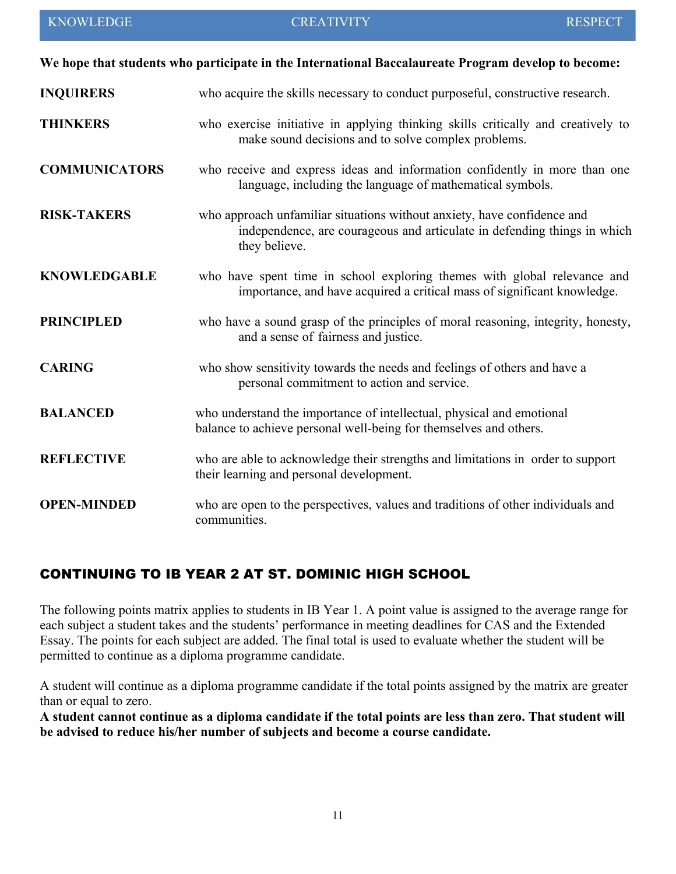|                      | We hope that students who participate in the International Baccalaureate Program develop to become:                                                                  |
|----------------------|----------------------------------------------------------------------------------------------------------------------------------------------------------------------|
| <b>INQUIRERS</b>     | who acquire the skills necessary to conduct purposeful, constructive research.                                                                                       |
| <b>THINKERS</b>      | who exercise initiative in applying thinking skills critically and creatively to<br>make sound decisions and to solve complex problems.                              |
| <b>COMMUNICATORS</b> | who receive and express ideas and information confidently in more than one<br>language, including the language of mathematical symbols.                              |
| <b>RISK-TAKERS</b>   | who approach unfamiliar situations without anxiety, have confidence and<br>independence, are courageous and articulate in defending things in which<br>they believe. |
| <b>KNOWLEDGABLE</b>  | who have spent time in school exploring themes with global relevance and<br>importance, and have acquired a critical mass of significant knowledge.                  |
| <b>PRINCIPLED</b>    | who have a sound grasp of the principles of moral reasoning, integrity, honesty,<br>and a sense of fairness and justice.                                             |
| <b>CARING</b>        | who show sensitivity towards the needs and feelings of others and have a<br>personal commitment to action and service.                                               |
| <b>BALANCED</b>      | who understand the importance of intellectual, physical and emotional<br>balance to achieve personal well-being for themselves and others.                           |
| <b>REFLECTIVE</b>    | who are able to acknowledge their strengths and limitations in order to support<br>their learning and personal development.                                          |
| <b>OPEN-MINDED</b>   | who are open to the perspectives, values and traditions of other individuals and<br>communities.                                                                     |

#### <span id="page-10-0"></span>CONTINUING TO IB YEAR 2 AT ST. DOMINIC HIGH SCHOOL

The following points matrix applies to students in IB Year 1. A point value is assigned to the average range for each subject a student takes and the students' performance in meeting deadlines for CAS and the Extended Essay. The points for each subject are added. The final total is used to evaluate whether the student will be permitted to continue as a diploma programme candidate.

A student will continue as a diploma programme candidate if the total points assigned by the matrix are greater than or equal to zero.

**A student cannot continue as a diploma candidate if the total points are less than zero. That student will be advised to reduce his/her number of subjects and become a course candidate.**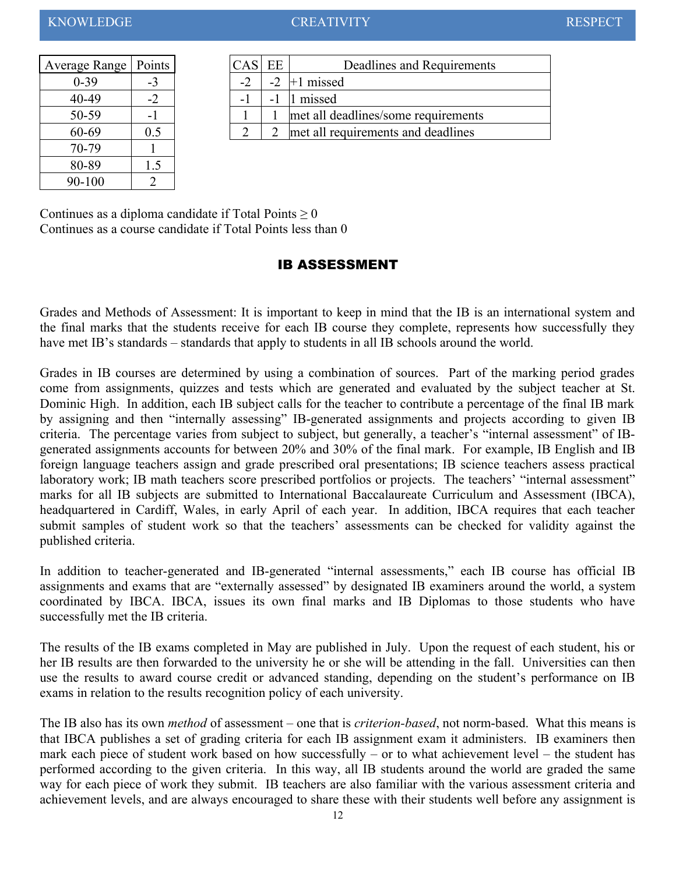| Average Range   Points |      | CAS EE |      |            |
|------------------------|------|--------|------|------------|
| $0 - 39$               | $-3$ | $-2$   | $-2$ | $+1$ misse |
| 40-49                  | $-2$ | -1     |      | 1 missed   |
| 50-59                  |      |        |      | met all d  |
| 60-69                  | 0.5  | 2      | 2    | met all re |
| 70-79                  |      |        |      |            |
| 80-89                  | 1.5  |        |      |            |
| 90-100                 |      |        |      |            |

| Average Range   Points |      | $CAS$ <sub>1</sub>       | EE | Deadlines and Requirements          |
|------------------------|------|--------------------------|----|-------------------------------------|
| $0 - 39$               | $-3$ | $\overline{\phantom{a}}$ |    | $+1$ missed                         |
| $40 - 49$              | $-2$ | - 1                      |    | missed                              |
| 50-59                  | ۰    |                          |    | met all deadlines/some requirements |
| 60-69                  | 0.5  |                          |    | met all requirements and deadlines  |
|                        |      |                          |    |                                     |

Continues as a diploma candidate if Total Points  $\geq 0$ Continues as a course candidate if Total Points less than 0

#### <span id="page-11-0"></span>IB ASSESSMENT

Grades and Methods of Assessment: It is important to keep in mind that the IB is an international system and the final marks that the students receive for each IB course they complete, represents how successfully they have met IB's standards – standards that apply to students in all IB schools around the world.

Grades in IB courses are determined by using a combination of sources. Part of the marking period grades come from assignments, quizzes and tests which are generated and evaluated by the subject teacher at St. Dominic High. In addition, each IB subject calls for the teacher to contribute a percentage of the final IB mark by assigning and then "internally assessing" IB-generated assignments and projects according to given IB criteria. The percentage varies from subject to subject, but generally, a teacher's "internal assessment" of IBgenerated assignments accounts for between 20% and 30% of the final mark. For example, IB English and IB foreign language teachers assign and grade prescribed oral presentations; IB science teachers assess practical laboratory work; IB math teachers score prescribed portfolios or projects. The teachers' "internal assessment" marks for all IB subjects are submitted to International Baccalaureate Curriculum and Assessment (IBCA), headquartered in Cardiff, Wales, in early April of each year. In addition, IBCA requires that each teacher submit samples of student work so that the teachers' assessments can be checked for validity against the published criteria.

In addition to teacher-generated and IB-generated "internal assessments," each IB course has official IB assignments and exams that are "externally assessed" by designated IB examiners around the world, a system coordinated by IBCA. IBCA, issues its own final marks and IB Diplomas to those students who have successfully met the IB criteria.

The results of the IB exams completed in May are published in July. Upon the request of each student, his or her IB results are then forwarded to the university he or she will be attending in the fall. Universities can then use the results to award course credit or advanced standing, depending on the student's performance on IB exams in relation to the results recognition policy of each university.

The IB also has its own *method* of assessment – one that is *criterion-based*, not norm-based. What this means is that IBCA publishes a set of grading criteria for each IB assignment exam it administers. IB examiners then mark each piece of student work based on how successfully – or to what achievement level – the student has performed according to the given criteria. In this way, all IB students around the world are graded the same way for each piece of work they submit. IB teachers are also familiar with the various assessment criteria and achievement levels, and are always encouraged to share these with their students well before any assignment is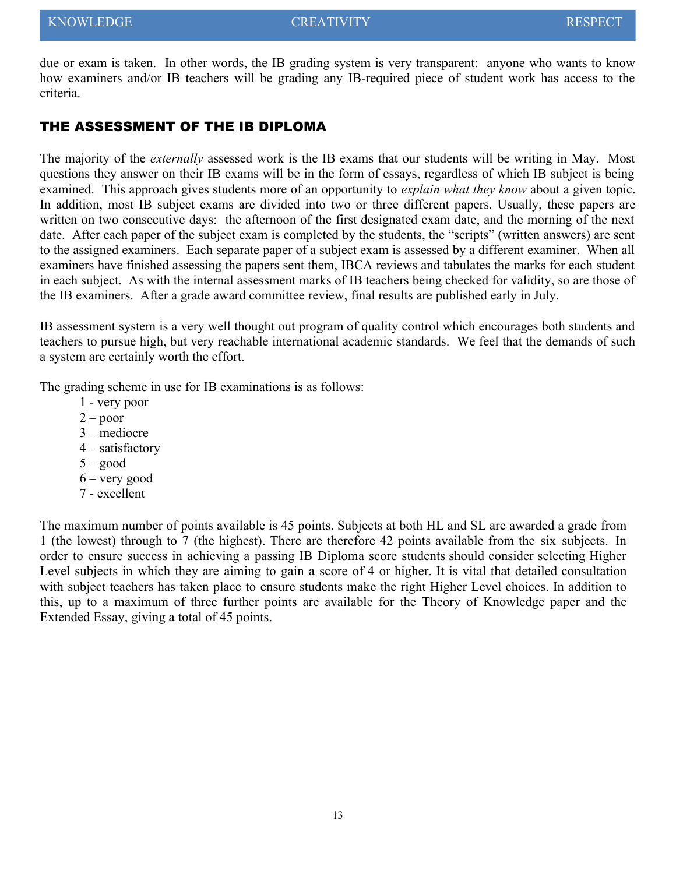due or exam is taken. In other words, the IB grading system is very transparent: anyone who wants to know how examiners and/or IB teachers will be grading any IB-required piece of student work has access to the criteria.

#### THE ASSESSMENT OF THE IB DIPLOMA

The majority of the *externally* assessed work is the IB exams that our students will be writing in May. Most questions they answer on their IB exams will be in the form of essays, regardless of which IB subject is being examined. This approach gives students more of an opportunity to *explain what they know* about a given topic. In addition, most IB subject exams are divided into two or three different papers. Usually, these papers are written on two consecutive days: the afternoon of the first designated exam date, and the morning of the next date. After each paper of the subject exam is completed by the students, the "scripts" (written answers) are sent to the assigned examiners. Each separate paper of a subject exam is assessed by a different examiner. When all examiners have finished assessing the papers sent them, IBCA reviews and tabulates the marks for each student in each subject. As with the internal assessment marks of IB teachers being checked for validity, so are those of the IB examiners. After a grade award committee review, final results are published early in July.

IB assessment system is a very well thought out program of quality control which encourages both students and teachers to pursue high, but very reachable international academic standards. We feel that the demands of such a system are certainly worth the effort.

The grading scheme in use for IB examinations is as follows:

- 1 very poor
- $2 -$ poor
- 3 mediocre
- 4 satisfactory
- $5 good$
- 6 very good
- 7 excellent

The maximum number of points available is 45 points. Subjects at both HL and SL are awarded a grade from 1 (the lowest) through to 7 (the highest). There are therefore 42 points available from the six subjects. In order to ensure success in achieving a passing IB Diploma score students should consider selecting Higher Level subjects in which they are aiming to gain a score of 4 or higher. It is vital that detailed consultation with subject teachers has taken place to ensure students make the right Higher Level choices. In addition to this, up to a maximum of three further points are available for the Theory of Knowledge paper and the Extended Essay, giving a total of 45 points.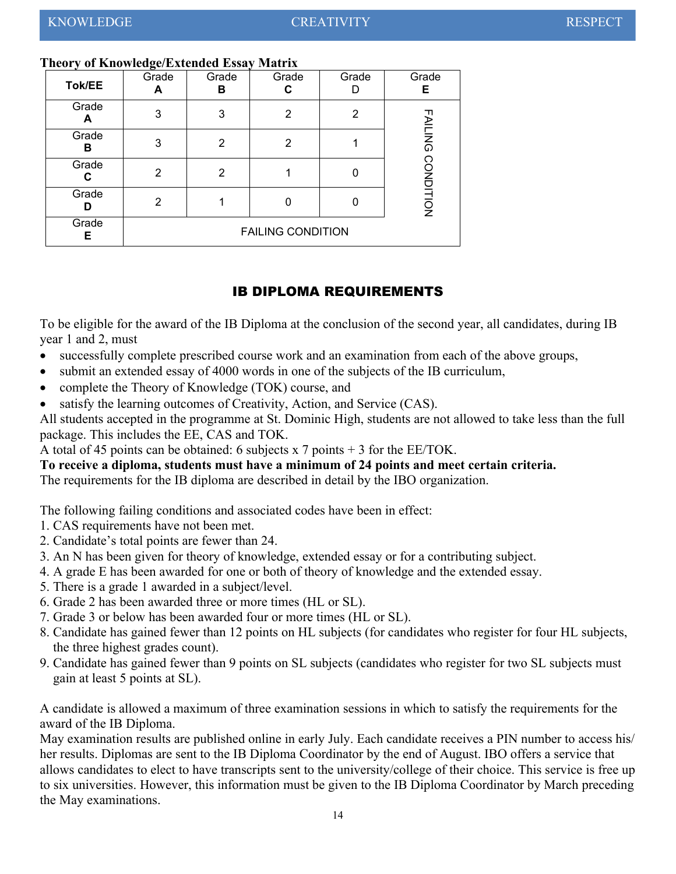#### **Theory of Knowledge/Extended Essay Matrix**

| Tok/EE     | Grade                    | Grade<br>в | Grade<br>С | Grade | Grade<br>Е       |  |
|------------|--------------------------|------------|------------|-------|------------------|--|
| Grade<br>А | 3                        | 3          | 2          | 2     |                  |  |
| Grade<br>в | 3                        | 2          | 2          |       | <b>FAILING</b>   |  |
| Grade<br>С | 2                        | 2          |            | Ü     |                  |  |
| Grade<br>D | 2                        |            | 0          | O     | <b>CONDITION</b> |  |
| Grade<br>Е | <b>FAILING CONDITION</b> |            |            |       |                  |  |

#### <span id="page-13-0"></span>IB DIPLOMA REQUIREMENTS

To be eligible for the award of the IB Diploma at the conclusion of the second year, all candidates, during IB year 1 and 2, must

- successfully complete prescribed course work and an examination from each of the above groups,
- submit an extended essay of 4000 words in one of the subjects of the IB curriculum,
- complete the Theory of Knowledge (TOK) course, and
- satisfy the learning outcomes of Creativity, Action, and Service (CAS).

All students accepted in the programme at St. Dominic High, students are not allowed to take less than the full package. This includes the EE, CAS and TOK.

A total of 45 points can be obtained: 6 subjects x 7 points + 3 for the EE/TOK.

#### **To receive a diploma, students must have a minimum of 24 points and meet certain criteria.**

The requirements for the IB diploma are described in detail by the IBO organization.

The following failing conditions and associated codes have been in effect:

- 1. CAS requirements have not been met.
- 2. Candidate's total points are fewer than 24.
- 3. An N has been given for theory of knowledge, extended essay or for a contributing subject.
- 4. A grade E has been awarded for one or both of theory of knowledge and the extended essay.
- 5. There is a grade 1 awarded in a subject/level.
- 6. Grade 2 has been awarded three or more times (HL or SL).
- 7. Grade 3 or below has been awarded four or more times (HL or SL).
- 8. Candidate has gained fewer than 12 points on HL subjects (for candidates who register for four HL subjects, the three highest grades count).
- 9. Candidate has gained fewer than 9 points on SL subjects (candidates who register for two SL subjects must gain at least 5 points at SL).

A candidate is allowed a maximum of three examination sessions in which to satisfy the requirements for the award of the IB Diploma.

May examination results are published online in early July. Each candidate receives a PIN number to access his/ her results. Diplomas are sent to the IB Diploma Coordinator by the end of August. IBO offers a service that allows candidates to elect to have transcripts sent to the university/college of their choice. This service is free up to six universities. However, this information must be given to the IB Diploma Coordinator by March preceding the May examinations.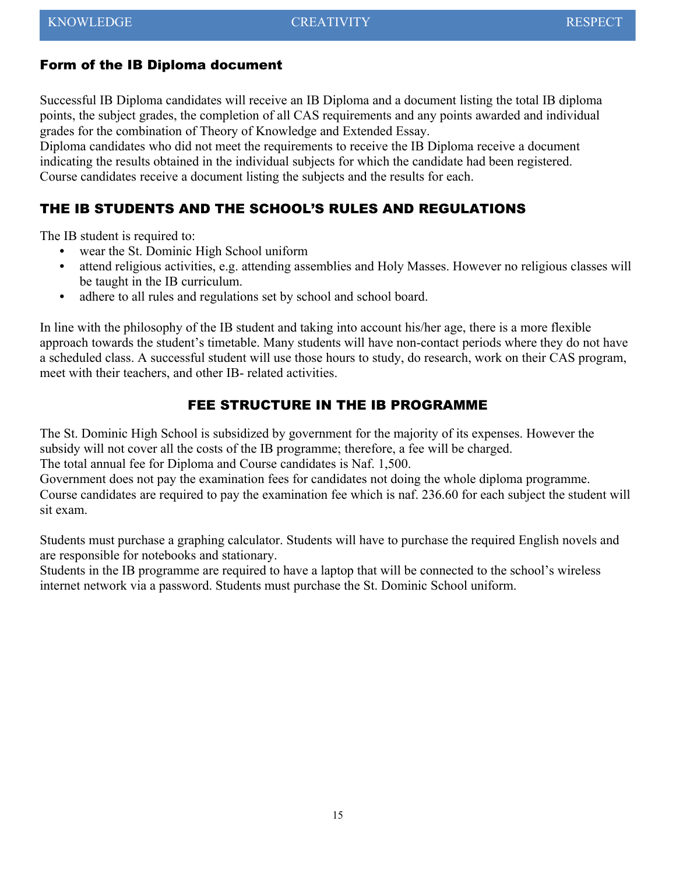#### Form of the IB Diploma document

Successful IB Diploma candidates will receive an IB Diploma and a document listing the total IB diploma points, the subject grades, the completion of all CAS requirements and any points awarded and individual grades for the combination of Theory of Knowledge and Extended Essay.

Diploma candidates who did not meet the requirements to receive the IB Diploma receive a document indicating the results obtained in the individual subjects for which the candidate had been registered. Course candidates receive a document listing the subjects and the results for each.

#### <span id="page-14-1"></span>THE IB STUDENTS AND THE SCHOOL'S RULES AND REGULATIONS

The IB student is required to:

- **•** wear the St. Dominic High School uniform
- **•** attend religious activities, e.g. attending assemblies and Holy Masses. However no religious classes will be taught in the IB curriculum.
- **•** adhere to all rules and regulations set by school and school board.

In line with the philosophy of the IB student and taking into account his/her age, there is a more flexible approach towards the student's timetable. Many students will have non-contact periods where they do not have a scheduled class. A successful student will use those hours to study, do research, work on their CAS program, meet with their teachers, and other IB- related activities.

#### <span id="page-14-0"></span>FEE STRUCTURE IN THE IB PROGRAMME

The St. Dominic High School is subsidized by government for the majority of its expenses. However the subsidy will not cover all the costs of the IB programme; therefore, a fee will be charged.

The total annual fee for Diploma and Course candidates is Naf. 1,500.

Government does not pay the examination fees for candidates not doing the whole diploma programme. Course candidates are required to pay the examination fee which is naf. 236.60 for each subject the student will sit exam.

Students must purchase a graphing calculator. Students will have to purchase the required English novels and are responsible for notebooks and stationary.

Students in the IB programme are required to have a laptop that will be connected to the school's wireless internet network via a password. Students must purchase the St. Dominic School uniform.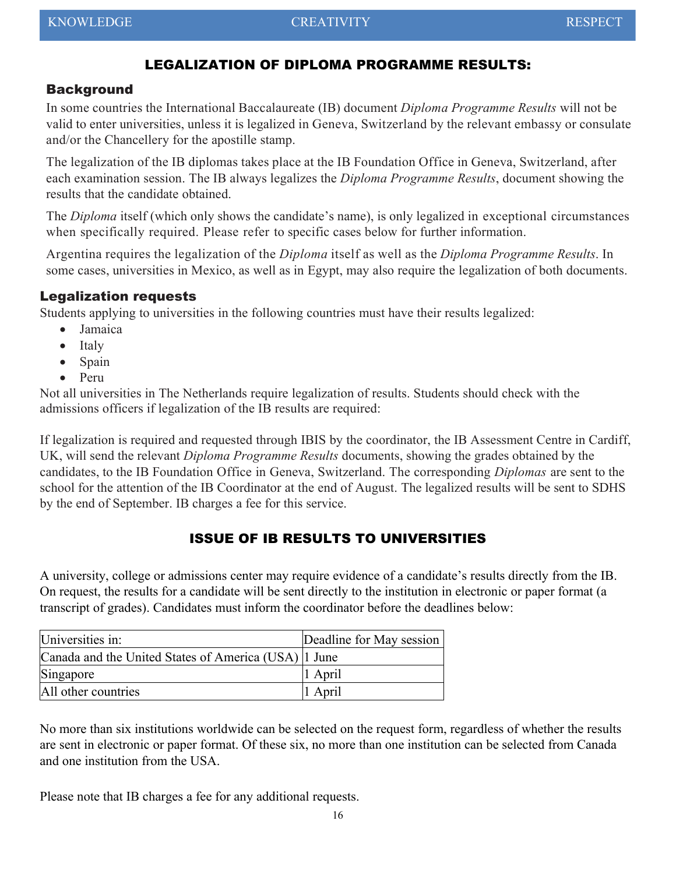#### <span id="page-15-1"></span>LEGALIZATION OF DIPLOMA PROGRAMME RESULTS:

#### **Background**

In some countries the International Baccalaureate (IB) document *Diploma Programme Results* will not be valid to enter universities, unless it is legalized in Geneva, Switzerland by the relevant embassy or consulate and/or the Chancellery for the apostille stamp.

The legalization of the IB diplomas takes place at the IB Foundation Office in Geneva, Switzerland, after each examination session. The IB always legalizes the *Diploma Programme Results*, document showing the results that the candidate obtained.

The *Diploma* itself (which only shows the candidate's name), is only legalized in exceptional circumstances when specifically required. Please refer to specific cases below for further information.

Argentina requires the legalization of the *Diploma* itself as well as the *Diploma Programme Results*. In some cases, universities in Mexico, as well as in Egypt, may also require the legalization of both documents.

#### Legalization requests

Students applying to universities in the following countries must have their results legalized:

- Jamaica
- Italy
- Spain
- Peru

Not all universities in The Netherlands require legalization of results. Students should check with the admissions officers if legalization of the IB results are required:

If legalization is required and requested through IBIS by the coordinator, the IB Assessment Centre in Cardiff, UK, will send the relevant *Diploma Programme Results* documents, showing the grades obtained by the candidates, to the IB Foundation Office in Geneva, Switzerland. The corresponding *Diplomas* are sent to the school for the attention of the IB Coordinator at the end of August. The legalized results will be sent to SDHS by the end of September. IB charges a fee for this service.

#### <span id="page-15-0"></span>ISSUE OF IB RESULTS TO UNIVERSITIES

A university, college or admissions center may require evidence of a candidate's results directly from the IB. On request, the results for a candidate will be sent directly to the institution in electronic or paper format (a transcript of grades). Candidates must inform the coordinator before the deadlines below:

| Universities in:                                     | Deadline for May session |
|------------------------------------------------------|--------------------------|
| Canada and the United States of America (USA) 1 June |                          |
| Singapore                                            | $ 1$ April               |
| All other countries                                  | 1 April                  |

No more than six institutions worldwide can be selected on the request form, regardless of whether the results are sent in electronic or paper format. Of these six, no more than one institution can be selected from Canada and one institution from the USA.

Please note that IB charges a fee for any additional requests.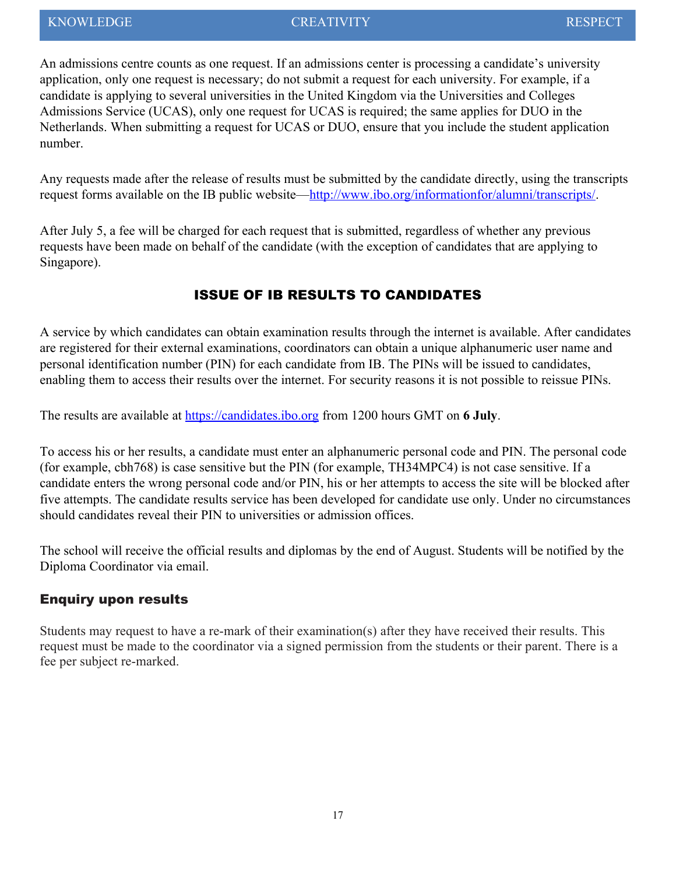An admissions centre counts as one request. If an admissions center is processing a candidate's university application, only one request is necessary; do not submit a request for each university. For example, if a candidate is applying to several universities in the United Kingdom via the Universities and Colleges Admissions Service (UCAS), only one request for UCAS is required; the same applies for DUO in the Netherlands. When submitting a request for UCAS or DUO, ensure that you include the student application number.

Any requests made after the release of results must be submitted by the candidate directly, using the transcripts request forms available on the IB public website[—http://www.ibo.org/informationfor/alumni/transcripts/.](http://www.ibo.org/informationfor/alumni/transcripts/)

After July 5, a fee will be charged for each request that is submitted, regardless of whether any previous requests have been made on behalf of the candidate (with the exception of candidates that are applying to Singapore).

#### <span id="page-16-0"></span>ISSUE OF IB RESULTS TO CANDIDATES

A service by which candidates can obtain examination results through the internet is available. After candidates are registered for their external examinations, coordinators can obtain a unique alphanumeric user name and personal identification number (PIN) for each candidate from IB. The PINs will be issued to candidates, enabling them to access their results over the internet. For security reasons it is not possible to reissue PINs.

The results are available at [https://candidates.ibo.org](https://candidates.ibo.org/index.cfm?event=SystemHandler.doChangeLocale&locale=en_GB) from 1200 hours GMT on **6 July**.

To access his or her results, a candidate must enter an alphanumeric personal code and PIN. The personal code (for example, cbh768) is case sensitive but the PIN (for example, TH34MPC4) is not case sensitive. If a candidate enters the wrong personal code and/or PIN, his or her attempts to access the site will be blocked after five attempts. The candidate results service has been developed for candidate use only. Under no circumstances should candidates reveal their PIN to universities or admission offices.

The school will receive the official results and diplomas by the end of August. Students will be notified by the Diploma Coordinator via email.

#### Enquiry upon results

Students may request to have a re-mark of their examination(s) after they have received their results. This request must be made to the coordinator via a signed permission from the students or their parent. There is a fee per subject re-marked.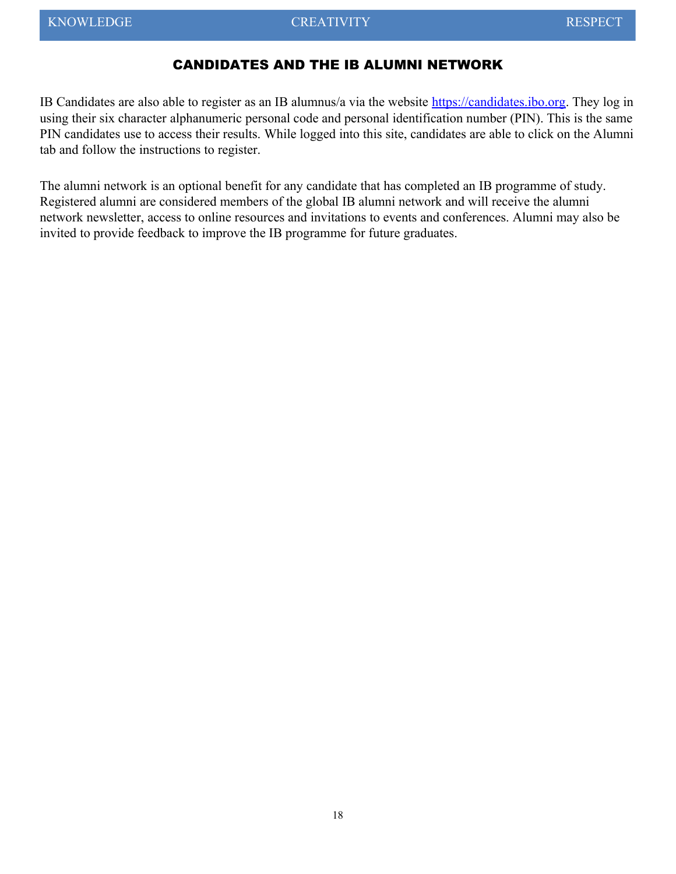#### <span id="page-17-0"></span>CANDIDATES AND THE IB ALUMNI NETWORK

IB Candidates are also able to register as an IB alumnus/a via the website [https://candidates.ibo.org.](https://candidates.ibo.org/index.cfm?event=SystemHandler.doChangeLocale&locale=en_GB) They log in using their six character alphanumeric personal code and personal identification number (PIN). This is the same PIN candidates use to access their results. While logged into this site, candidates are able to click on the Alumni tab and follow the instructions to register.

The alumni network is an optional benefit for any candidate that has completed an IB programme of study. Registered alumni are considered members of the global IB alumni network and will receive the alumni network newsletter, access to online resources and invitations to events and conferences. Alumni may also be invited to provide feedback to improve the IB programme for future graduates.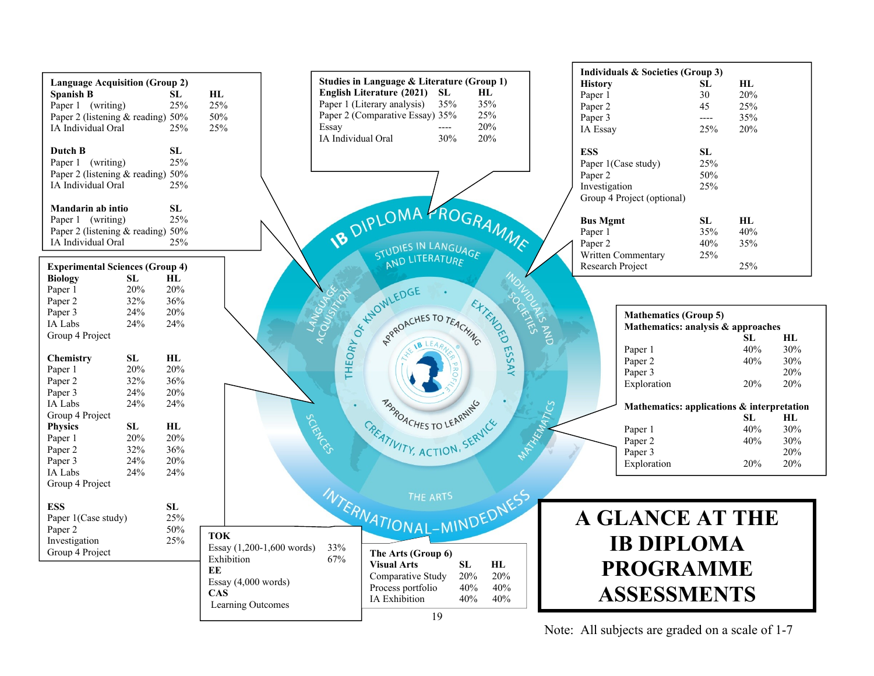

Note: All subjects are graded on a scale of 1-7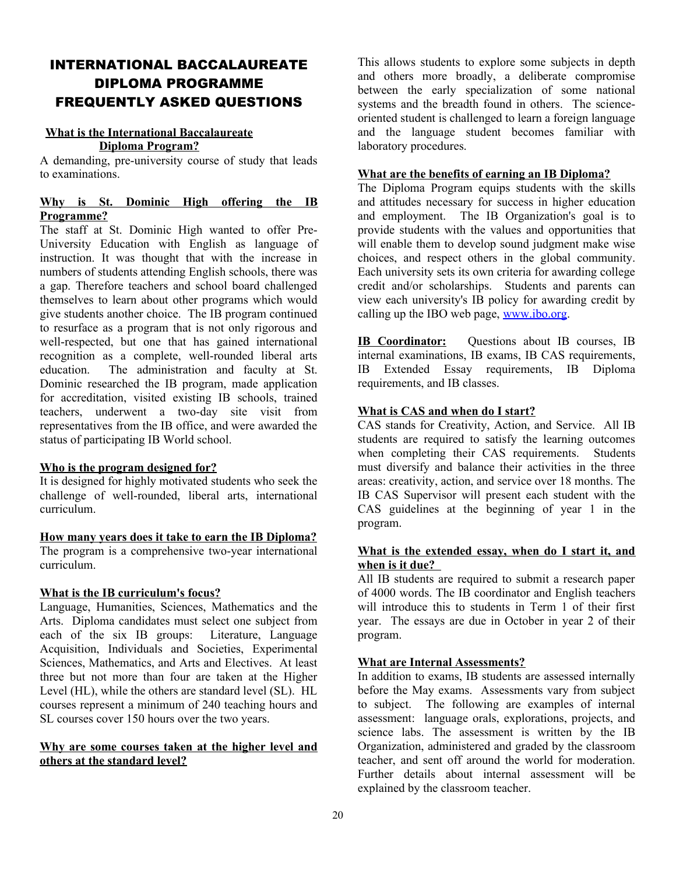#### <span id="page-19-1"></span><span id="page-19-0"></span>INTERNATIONAL BACCALAUREATE DIPLOMA PROGRAMME FREQUENTLY ASKED QUESTIONS

#### **What is the International Baccalaureate Diploma Program?**

A demanding, pre-university course of study that leads to examinations.

#### **Why is St. Dominic High offering the IB Programme?**

The staff at St. Dominic High wanted to offer Pre-University Education with English as language of instruction. It was thought that with the increase in numbers of students attending English schools, there was a gap. Therefore teachers and school board challenged themselves to learn about other programs which would give students another choice. The IB program continued to resurface as a program that is not only rigorous and well-respected, but one that has gained international recognition as a complete, well-rounded liberal arts education. The administration and faculty at St. Dominic researched the IB program, made application for accreditation, visited existing IB schools, trained teachers, underwent a two-day site visit from representatives from the IB office, and were awarded the status of participating IB World school.

#### **Who is the program designed for?**

It is designed for highly motivated students who seek the challenge of well-rounded, liberal arts, international curriculum.

#### **How many years does it take to earn the IB Diploma?**

The program is a comprehensive two-year international curriculum.

#### **What is the IB curriculum's focus?**

Language, Humanities, Sciences, Mathematics and the Arts. Diploma candidates must select one subject from each of the six IB groups: Literature, Language Acquisition, Individuals and Societies, Experimental Sciences, Mathematics, and Arts and Electives. At least three but not more than four are taken at the Higher Level (HL), while the others are standard level (SL). HL courses represent a minimum of 240 teaching hours and SL courses cover 150 hours over the two years.

#### **Why are some courses taken at the higher level and others at the standard level?**

This allows students to explore some subjects in depth and others more broadly, a deliberate compromise between the early specialization of some national systems and the breadth found in others. The scienceoriented student is challenged to learn a foreign language and the language student becomes familiar with laboratory procedures.

#### **What are the benefits of earning an IB Diploma?**

The Diploma Program equips students with the skills and attitudes necessary for success in higher education and employment. The IB Organization's goal is to provide students with the values and opportunities that will enable them to develop sound judgment make wise choices, and respect others in the global community. Each university sets its own criteria for awarding college credit and/or scholarships. Students and parents can view each university's IB policy for awarding credit by calling up the IBO web page, [www.ibo.org.](http://www.ibo.org/)

**IB Coordinator:** Questions about IB courses, IB internal examinations, IB exams, IB CAS requirements, IB Extended Essay requirements, IB Diploma requirements, and IB classes.

#### **What is CAS and when do I start?**

CAS stands for Creativity, Action, and Service. All IB students are required to satisfy the learning outcomes when completing their CAS requirements. Students must diversify and balance their activities in the three areas: creativity, action, and service over 18 months. The IB CAS Supervisor will present each student with the CAS guidelines at the beginning of year 1 in the program.

#### **What is the extended essay, when do I start it, and when is it due?**

All IB students are required to submit a research paper of 4000 words. The IB coordinator and English teachers will introduce this to students in Term 1 of their first year. The essays are due in October in year 2 of their program.

#### **What are Internal Assessments?**

In addition to exams, IB students are assessed internally before the May exams. Assessments vary from subject to subject. The following are examples of internal assessment: language orals, explorations, projects, and science labs. The assessment is written by the IB Organization, administered and graded by the classroom teacher, and sent off around the world for moderation. Further details about internal assessment will be explained by the classroom teacher.